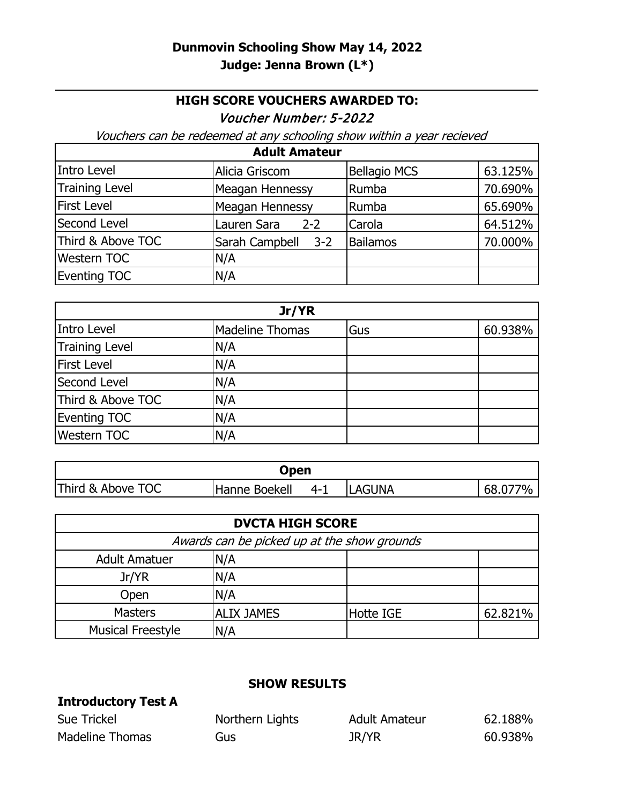## **HIGH SCORE VOUCHERS AWARDED TO:**

Voucher Number: 5-2022

Vouchers can be redeemed at any schooling show within a year recieved

| <b>Adult Amateur</b>  |                        |                     |         |
|-----------------------|------------------------|---------------------|---------|
| Intro Level           | Alicia Griscom         | <b>Bellagio MCS</b> | 63.125% |
| <b>Training Level</b> | Meagan Hennessy        | Rumba               | 70.690% |
| <b>First Level</b>    | Meagan Hennessy        | Rumba               | 65.690% |
| Second Level          | Lauren Sara<br>$2 - 2$ | Carola              | 64.512% |
| Third & Above TOC     | Sarah Campbell 3-2     | <b>Bailamos</b>     | 70.000% |
| <b>Western TOC</b>    | N/A                    |                     |         |
| <b>Eventing TOC</b>   | N/A                    |                     |         |

| Jr/YR                 |                        |     |         |
|-----------------------|------------------------|-----|---------|
| Intro Level           | <b>Madeline Thomas</b> | Gus | 60.938% |
| <b>Training Level</b> | N/A                    |     |         |
| <b>First Level</b>    | N/A                    |     |         |
| Second Level          | N/A                    |     |         |
| Third & Above TOC     | N/A                    |     |         |
| <b>Eventing TOC</b>   | N/A                    |     |         |
| <b>Western TOC</b>    | N/A                    |     |         |

| Open              |                |         |               |         |
|-------------------|----------------|---------|---------------|---------|
| Third & Above TOC | 'Hanne Boekell | $4 - 1$ | <b>LAGUNA</b> | 68.077% |

| <b>DVCTA HIGH SCORE</b>                     |                   |                  |         |
|---------------------------------------------|-------------------|------------------|---------|
| Awards can be picked up at the show grounds |                   |                  |         |
| <b>Adult Amatuer</b>                        | N/A               |                  |         |
| Jr/YR                                       | N/A               |                  |         |
| Open                                        | N/A               |                  |         |
| <b>Masters</b>                              | <b>ALIX JAMES</b> | <b>Hotte IGE</b> | 62.821% |
| <b>Musical Freestyle</b>                    | N/A               |                  |         |

## **SHOW RESULTS**

| <b>Introductory Test A</b> |                 |                      |         |
|----------------------------|-----------------|----------------------|---------|
| Sue Trickel                | Northern Lights | <b>Adult Amateur</b> | 62.188% |
| Madeline Thomas            | Gus             | JR/YR                | 60.938% |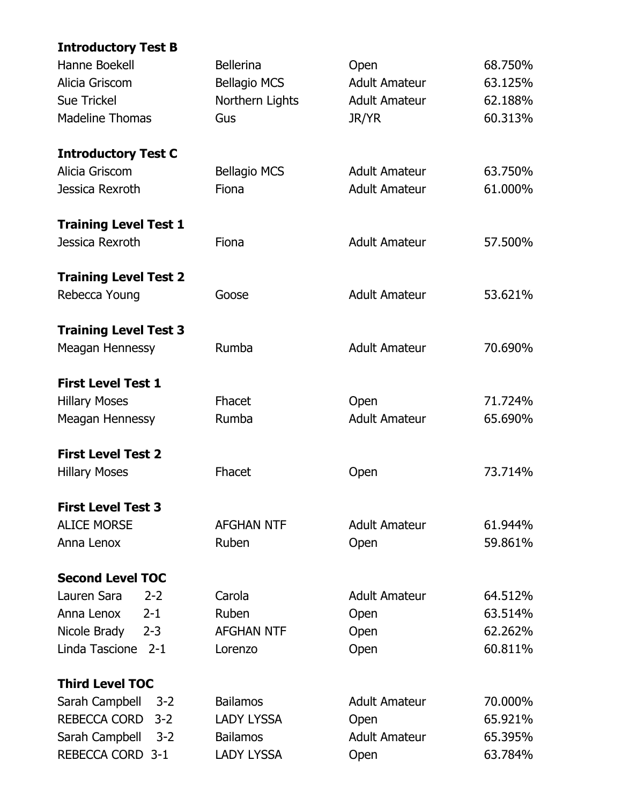| <b>Introductory Test B</b>     |                     |                      |         |
|--------------------------------|---------------------|----------------------|---------|
| Hanne Boekell                  | <b>Bellerina</b>    | Open                 | 68.750% |
| Alicia Griscom                 | <b>Bellagio MCS</b> | <b>Adult Amateur</b> | 63.125% |
| <b>Sue Trickel</b>             | Northern Lights     | <b>Adult Amateur</b> | 62.188% |
| <b>Madeline Thomas</b>         | Gus                 | JR/YR                | 60.313% |
| <b>Introductory Test C</b>     |                     |                      |         |
| Alicia Griscom                 | <b>Bellagio MCS</b> | <b>Adult Amateur</b> | 63.750% |
| Jessica Rexroth                | Fiona               | <b>Adult Amateur</b> | 61.000% |
| <b>Training Level Test 1</b>   |                     |                      |         |
| Jessica Rexroth                | Fiona               | <b>Adult Amateur</b> | 57.500% |
| <b>Training Level Test 2</b>   |                     |                      |         |
| Rebecca Young                  | Goose               | <b>Adult Amateur</b> | 53.621% |
| <b>Training Level Test 3</b>   |                     |                      |         |
| Meagan Hennessy                | Rumba               | <b>Adult Amateur</b> | 70.690% |
| <b>First Level Test 1</b>      |                     |                      |         |
| <b>Hillary Moses</b>           | Fhacet              | Open                 | 71.724% |
| Meagan Hennessy                | Rumba               | <b>Adult Amateur</b> | 65.690% |
| <b>First Level Test 2</b>      |                     |                      |         |
| <b>Hillary Moses</b>           | Fhacet              | Open                 | 73.714% |
| <b>First Level Test 3</b>      |                     |                      |         |
| <b>ALICE MORSE</b>             | <b>AFGHAN NTF</b>   | <b>Adult Amateur</b> | 61.944% |
| Anna Lenox                     | Ruben               | Open                 | 59.861% |
| <b>Second Level TOC</b>        |                     |                      |         |
| Lauren Sara<br>$2 - 2$         | Carola              | <b>Adult Amateur</b> | 64.512% |
| Anna Lenox<br>$2 - 1$          | Ruben               | Open                 | 63.514% |
| Nicole Brady<br>$2 - 3$        | <b>AFGHAN NTF</b>   | Open                 | 62.262% |
| Linda Tascione<br>$2 - 1$      | Lorenzo             | Open                 | 60.811% |
| <b>Third Level TOC</b>         |                     |                      |         |
| $3 - 2$<br>Sarah Campbell      | <b>Bailamos</b>     | <b>Adult Amateur</b> | 70.000% |
| <b>REBECCA CORD</b><br>$3 - 2$ | <b>LADY LYSSA</b>   | Open                 | 65.921% |
| Sarah Campbell<br>$3 - 2$      | <b>Bailamos</b>     | <b>Adult Amateur</b> | 65.395% |
| REBECCA CORD 3-1               | <b>LADY LYSSA</b>   | Open                 | 63.784% |